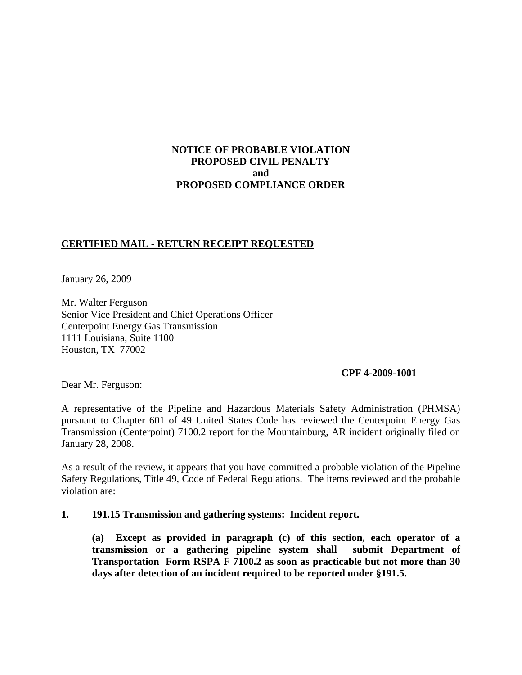# **NOTICE OF PROBABLE VIOLATION PROPOSED CIVIL PENALTY and PROPOSED COMPLIANCE ORDER**

# **CERTIFIED MAIL - RETURN RECEIPT REQUESTED**

January 26, 2009

Mr. Walter Ferguson Senior Vice President and Chief Operations Officer Centerpoint Energy Gas Transmission 1111 Louisiana, Suite 1100 Houston, TX 77002

#### **CPF 4-2009-1001**

Dear Mr. Ferguson:

A representative of the Pipeline and Hazardous Materials Safety Administration (PHMSA) pursuant to Chapter 601 of 49 United States Code has reviewed the Centerpoint Energy Gas Transmission (Centerpoint) 7100.2 report for the Mountainburg, AR incident originally filed on January 28, 2008.

As a result of the review, it appears that you have committed a probable violation of the Pipeline Safety Regulations, Title 49, Code of Federal Regulations. The items reviewed and the probable violation are:

#### **1. 191.15 Transmission and gathering systems: Incident report.**

 **(a) Except as provided in paragraph (c) of this section, each operator of a transmission or a gathering pipeline system shall submit Department of Transportation Form RSPA F 7100.2 as soon as practicable but not more than 30 days after detection of an incident required to be reported under §191.5.**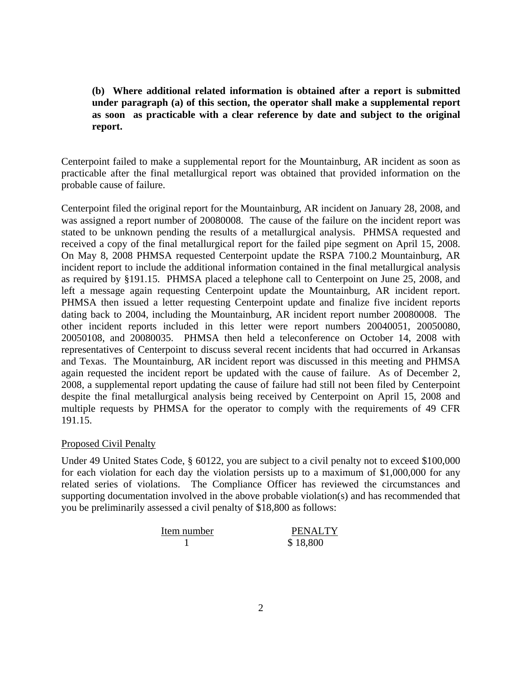**(b) Where additional related information is obtained after a report is submitted under paragraph (a) of this section, the operator shall make a supplemental report as soon as practicable with a clear reference by date and subject to the original report.** 

Centerpoint failed to make a supplemental report for the Mountainburg, AR incident as soon as practicable after the final metallurgical report was obtained that provided information on the probable cause of failure.

Centerpoint filed the original report for the Mountainburg, AR incident on January 28, 2008, and was assigned a report number of 20080008. The cause of the failure on the incident report was stated to be unknown pending the results of a metallurgical analysis. PHMSA requested and received a copy of the final metallurgical report for the failed pipe segment on April 15, 2008. On May 8, 2008 PHMSA requested Centerpoint update the RSPA 7100.2 Mountainburg, AR incident report to include the additional information contained in the final metallurgical analysis as required by §191.15. PHMSA placed a telephone call to Centerpoint on June 25, 2008, and left a message again requesting Centerpoint update the Mountainburg, AR incident report. PHMSA then issued a letter requesting Centerpoint update and finalize five incident reports dating back to 2004, including the Mountainburg, AR incident report number 20080008. The other incident reports included in this letter were report numbers 20040051, 20050080, 20050108, and 20080035. PHMSA then held a teleconference on October 14, 2008 with representatives of Centerpoint to discuss several recent incidents that had occurred in Arkansas and Texas. The Mountainburg, AR incident report was discussed in this meeting and PHMSA again requested the incident report be updated with the cause of failure. As of December 2, 2008, a supplemental report updating the cause of failure had still not been filed by Centerpoint despite the final metallurgical analysis being received by Centerpoint on April 15, 2008 and multiple requests by PHMSA for the operator to comply with the requirements of 49 CFR 191.15.

## Proposed Civil Penalty

Under 49 United States Code, § 60122, you are subject to a civil penalty not to exceed \$100,000 for each violation for each day the violation persists up to a maximum of \$1,000,000 for any related series of violations. The Compliance Officer has reviewed the circumstances and supporting documentation involved in the above probable violation(s) and has recommended that you be preliminarily assessed a civil penalty of \$18,800 as follows:

| Item number | <b>PENALTY</b> |
|-------------|----------------|
|             | \$18,800       |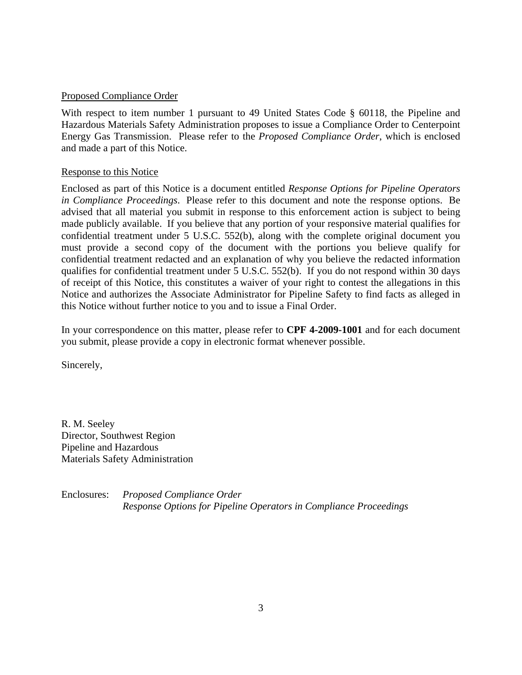## Proposed Compliance Order

With respect to item number 1 pursuant to 49 United States Code § 60118, the Pipeline and Hazardous Materials Safety Administration proposes to issue a Compliance Order to Centerpoint Energy Gas Transmission. Please refer to the *Proposed Compliance Order*, which is enclosed and made a part of this Notice.

## Response to this Notice

Enclosed as part of this Notice is a document entitled *Response Options for Pipeline Operators in Compliance Proceedings*. Please refer to this document and note the response options. Be advised that all material you submit in response to this enforcement action is subject to being made publicly available. If you believe that any portion of your responsive material qualifies for confidential treatment under 5 U.S.C. 552(b), along with the complete original document you must provide a second copy of the document with the portions you believe qualify for confidential treatment redacted and an explanation of why you believe the redacted information qualifies for confidential treatment under 5 U.S.C. 552(b). If you do not respond within 30 days of receipt of this Notice, this constitutes a waiver of your right to contest the allegations in this Notice and authorizes the Associate Administrator for Pipeline Safety to find facts as alleged in this Notice without further notice to you and to issue a Final Order.

In your correspondence on this matter, please refer to **CPF 4-2009-1001** and for each document you submit, please provide a copy in electronic format whenever possible.

Sincerely,

R. M. Seeley Director, Southwest Region Pipeline and Hazardous Materials Safety Administration

Enclosures: *Proposed Compliance Order Response Options for Pipeline Operators in Compliance Proceedings*